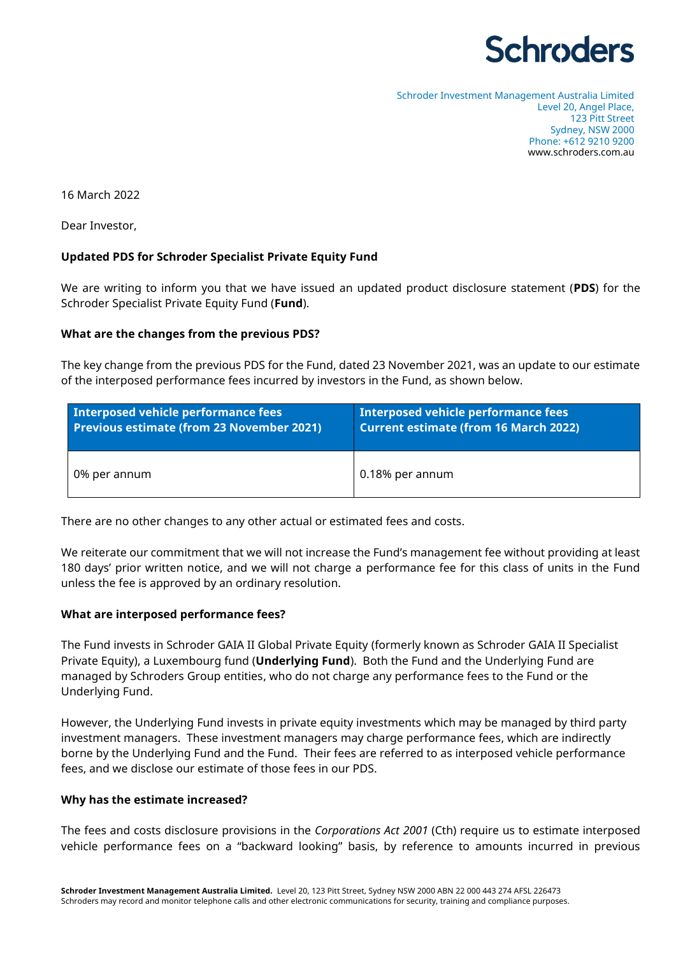# **Schroders**

Schroder Investment Management Australia Limited Level 20, Angel Place, 123 Pitt Street Sydney, NSW 2000 Phone: +612 9210 9200 www.schroders.com.au

16 March 2022

Dear Investor,

### **Updated PDS for Schroder Specialist Private Equity Fund**

We are writing to inform you that we have issued an updated product disclosure statement (**PDS**) for the Schroder Specialist Private Equity Fund (**Fund**).

#### **What are the changes from the previous PDS?**

The key change from the previous PDS for the Fund, dated 23 November 2021, was an update to our estimate of the interposed performance fees incurred by investors in the Fund, as shown below.

| Interposed vehicle performance fees              | Interposed vehicle performance fees          |
|--------------------------------------------------|----------------------------------------------|
| <b>Previous estimate (from 23 November 2021)</b> | <b>Current estimate (from 16 March 2022)</b> |
| 0% per annum                                     | 0.18% per annum                              |

There are no other changes to any other actual or estimated fees and costs.

We reiterate our commitment that we will not increase the Fund's management fee without providing at least 180 days' prior written notice, and we will not charge a performance fee for this class of units in the Fund unless the fee is approved by an ordinary resolution.

#### **What are interposed performance fees?**

The Fund invests in Schroder GAIA II Global Private Equity (formerly known as Schroder GAIA II Specialist Private Equity), a Luxembourg fund (**Underlying Fund**). Both the Fund and the Underlying Fund are managed by Schroders Group entities, who do not charge any performance fees to the Fund or the Underlying Fund.

However, the Underlying Fund invests in private equity investments which may be managed by third party investment managers. These investment managers may charge performance fees, which are indirectly borne by the Underlying Fund and the Fund. Their fees are referred to as interposed vehicle performance fees, and we disclose our estimate of those fees in our PDS.

#### **Why has the estimate increased?**

The fees and costs disclosure provisions in the *Corporations Act 2001* (Cth) require us to estimate interposed vehicle performance fees on a "backward looking" basis, by reference to amounts incurred in previous